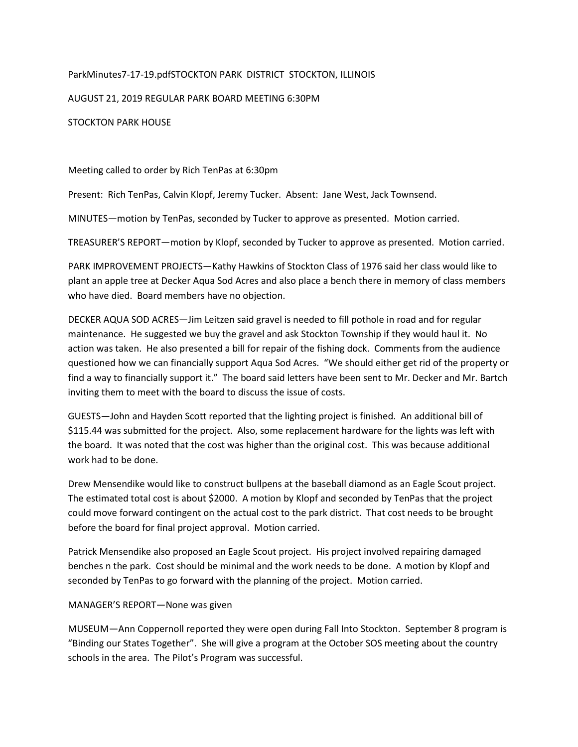## ParkMinutes7-17-19.pdfSTOCKTON PARK DISTRICT STOCKTON, ILLINOIS

AUGUST 21, 2019 REGULAR PARK BOARD MEETING 6:30PM

STOCKTON PARK HOUSE

Meeting called to order by Rich TenPas at 6:30pm

Present: Rich TenPas, Calvin Klopf, Jeremy Tucker. Absent: Jane West, Jack Townsend.

MINUTES—motion by TenPas, seconded by Tucker to approve as presented. Motion carried.

TREASURER'S REPORT—motion by Klopf, seconded by Tucker to approve as presented. Motion carried.

PARK IMPROVEMENT PROJECTS—Kathy Hawkins of Stockton Class of 1976 said her class would like to plant an apple tree at Decker Aqua Sod Acres and also place a bench there in memory of class members who have died. Board members have no objection.

DECKER AQUA SOD ACRES—Jim Leitzen said gravel is needed to fill pothole in road and for regular maintenance. He suggested we buy the gravel and ask Stockton Township if they would haul it. No action was taken. He also presented a bill for repair of the fishing dock. Comments from the audience questioned how we can financially support Aqua Sod Acres. "We should either get rid of the property or find a way to financially support it." The board said letters have been sent to Mr. Decker and Mr. Bartch inviting them to meet with the board to discuss the issue of costs.

GUESTS—John and Hayden Scott reported that the lighting project is finished. An additional bill of \$115.44 was submitted for the project. Also, some replacement hardware for the lights was left with the board. It was noted that the cost was higher than the original cost. This was because additional work had to be done.

Drew Mensendike would like to construct bullpens at the baseball diamond as an Eagle Scout project. The estimated total cost is about \$2000. A motion by Klopf and seconded by TenPas that the project could move forward contingent on the actual cost to the park district. That cost needs to be brought before the board for final project approval. Motion carried.

Patrick Mensendike also proposed an Eagle Scout project. His project involved repairing damaged benches n the park. Cost should be minimal and the work needs to be done. A motion by Klopf and seconded by TenPas to go forward with the planning of the project. Motion carried.

## MANAGER'S REPORT—None was given

MUSEUM—Ann Coppernoll reported they were open during Fall Into Stockton. September 8 program is "Binding our States Together". She will give a program at the October SOS meeting about the country schools in the area. The Pilot's Program was successful.